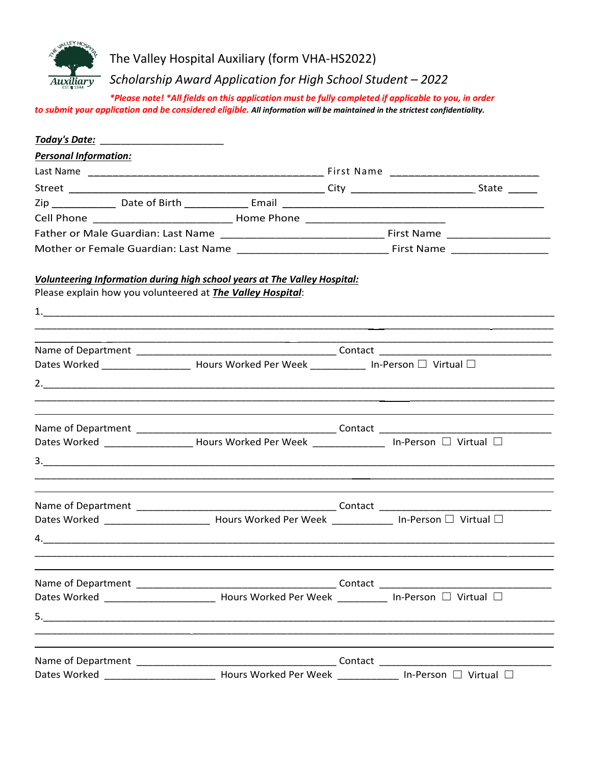

The Valley Hospital Auxiliary (form VHA-HS2022)

*Scholarship Award Application for High School Student – 2022*

*\*Please note! \*All fields on this application must be fully completed if applicable to you, in order to submit your application and be considered eligible. All information will be maintained in the strictest confidentiality.*

| <u> Today's Date: __________________________</u> |                                                                                                                                                |  |  |  |  |
|--------------------------------------------------|------------------------------------------------------------------------------------------------------------------------------------------------|--|--|--|--|
| <b>Personal Information:</b>                     |                                                                                                                                                |  |  |  |  |
|                                                  |                                                                                                                                                |  |  |  |  |
|                                                  |                                                                                                                                                |  |  |  |  |
|                                                  |                                                                                                                                                |  |  |  |  |
|                                                  |                                                                                                                                                |  |  |  |  |
|                                                  |                                                                                                                                                |  |  |  |  |
|                                                  |                                                                                                                                                |  |  |  |  |
|                                                  | Volunteering Information during high school years at The Valley Hospital:<br>Please explain how you volunteered at <b>The Valley Hospital:</b> |  |  |  |  |
|                                                  | Dates Worked _____________________ Hours Worked Per Week ____________ In-Person □ Virtual □                                                    |  |  |  |  |
|                                                  |                                                                                                                                                |  |  |  |  |
|                                                  |                                                                                                                                                |  |  |  |  |
|                                                  | Dates Worked _____________________Hours Worked Per Week _________________ In-Person □ Virtual □                                                |  |  |  |  |
|                                                  |                                                                                                                                                |  |  |  |  |
|                                                  | Dates Worked ____________________________ Hours Worked Per Week _______________ In-Person □ Virtual □                                          |  |  |  |  |
|                                                  |                                                                                                                                                |  |  |  |  |
|                                                  | Dates Worked ____________________________ Hours Worked Per Week ____________ In-Person □ Virtual □                                             |  |  |  |  |
|                                                  | ,他们的人们也不能在这里的人们,他们的人们就是一个人们的人们,他们的人们就是一个人们的人们,也不能不能不能不能。他们的人们也不能不能不能不能不能不能不能不能不能                                                               |  |  |  |  |
|                                                  |                                                                                                                                                |  |  |  |  |
|                                                  |                                                                                                                                                |  |  |  |  |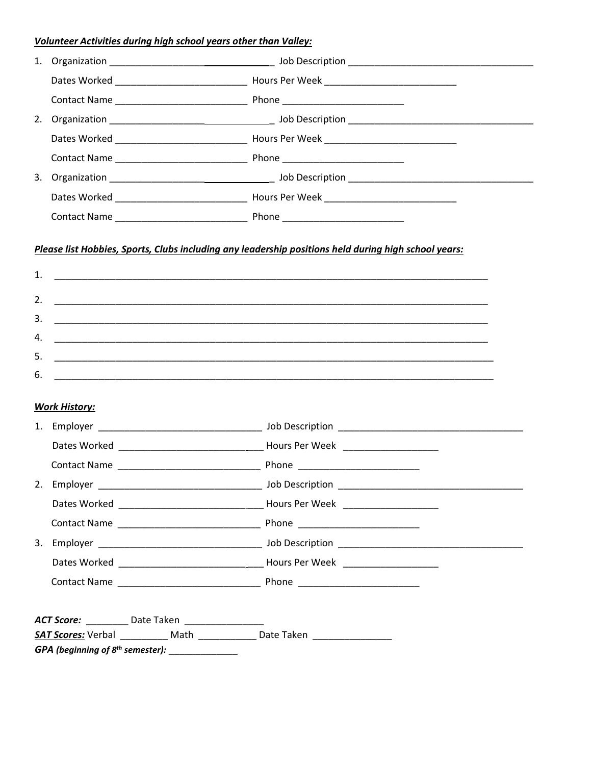## Volunteer Activities during high school years other than Valley:

| 1.          |                      |                                                       | Please list Hobbies, Sports, Clubs including any leadership positions held during high school years: |
|-------------|----------------------|-------------------------------------------------------|------------------------------------------------------------------------------------------------------|
| 2.          |                      |                                                       |                                                                                                      |
| 3.          |                      |                                                       |                                                                                                      |
| 4.          |                      |                                                       |                                                                                                      |
| 5.          |                      |                                                       |                                                                                                      |
| 6.          |                      |                                                       |                                                                                                      |
|             | <b>Work History:</b> |                                                       |                                                                                                      |
|             |                      |                                                       |                                                                                                      |
|             |                      |                                                       |                                                                                                      |
|             |                      |                                                       |                                                                                                      |
| 2. Employer |                      |                                                       | Job Description                                                                                      |
|             |                      |                                                       |                                                                                                      |
|             |                      |                                                       |                                                                                                      |
|             |                      |                                                       |                                                                                                      |
|             |                      |                                                       |                                                                                                      |
|             |                      |                                                       |                                                                                                      |
|             |                      | ACT Score: Date Taken                                 |                                                                                                      |
|             |                      |                                                       | <b>SAT Scores:</b> Verbal ____________ Math _______________ Date Taken ________________              |
|             |                      | GPA (beginning of $8^{th}$ semester): _______________ |                                                                                                      |